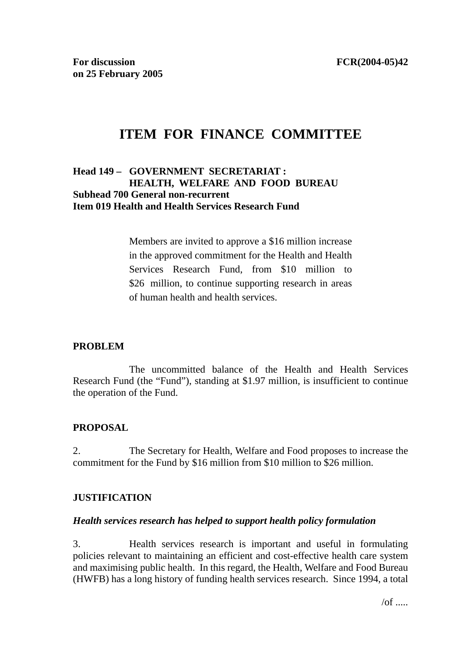# **ITEM FOR FINANCE COMMITTEE**

### **Head 149 – GOVERNMENT SECRETARIAT : HEALTH, WELFARE AND FOOD BUREAU Subhead 700 General non-recurrent Item 019 Health and Health Services Research Fund**

Members are invited to approve a \$16 million increase in the approved commitment for the Health and Health Services Research Fund, from \$10 million to \$26 million, to continue supporting research in areas of human health and health services.

### **PROBLEM**

 The uncommitted balance of the Health and Health Services Research Fund (the "Fund"), standing at \$1.97 million, is insufficient to continue the operation of the Fund.

### **PROPOSAL**

2. The Secretary for Health, Welfare and Food proposes to increase the commitment for the Fund by \$16 million from \$10 million to \$26 million.

### **JUSTIFICATION**

#### *Health services research has helped to support health policy formulation*

3. Health services research is important and useful in formulating policies relevant to maintaining an efficient and cost-effective health care system and maximising public health. In this regard, the Health, Welfare and Food Bureau (HWFB) has a long history of funding health services research. Since 1994, a total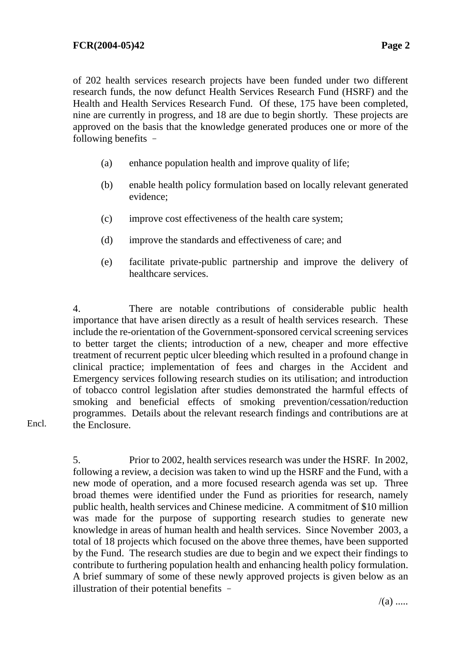of 202 health services research projects have been funded under two different research funds, the now defunct Health Services Research Fund (HSRF) and the Health and Health Services Research Fund. Of these, 175 have been completed, nine are currently in progress, and 18 are due to begin shortly. These projects are approved on the basis that the knowledge generated produces one or more of the following benefits –

- (a) enhance population health and improve quality of life;
- (b) enable health policy formulation based on locally relevant generated evidence;
- (c) improve cost effectiveness of the health care system;
- (d) improve the standards and effectiveness of care; and
- (e) facilitate private-public partnership and improve the delivery of healthcare services.

4. There are notable contributions of considerable public health importance that have arisen directly as a result of health services research. These include the re-orientation of the Government-sponsored cervical screening services to better target the clients; introduction of a new, cheaper and more effective treatment of recurrent peptic ulcer bleeding which resulted in a profound change in clinical practice; implementation of fees and charges in the Accident and Emergency services following research studies on its utilisation; and introduction of tobacco control legislation after studies demonstrated the harmful effects of smoking and beneficial effects of smoking prevention/cessation/reduction programmes. Details about the relevant research findings and contributions are at the Enclosure.

Encl.

5. Prior to 2002, health services research was under the HSRF. In 2002, following a review, a decision was taken to wind up the HSRF and the Fund, with a new mode of operation, and a more focused research agenda was set up. Three broad themes were identified under the Fund as priorities for research, namely public health, health services and Chinese medicine. A commitment of \$10 million was made for the purpose of supporting research studies to generate new knowledge in areas of human health and health services. Since November 2003, a total of 18 projects which focused on the above three themes, have been supported by the Fund. The research studies are due to begin and we expect their findings to contribute to furthering population health and enhancing health policy formulation. A brief summary of some of these newly approved projects is given below as an illustration of their potential benefits –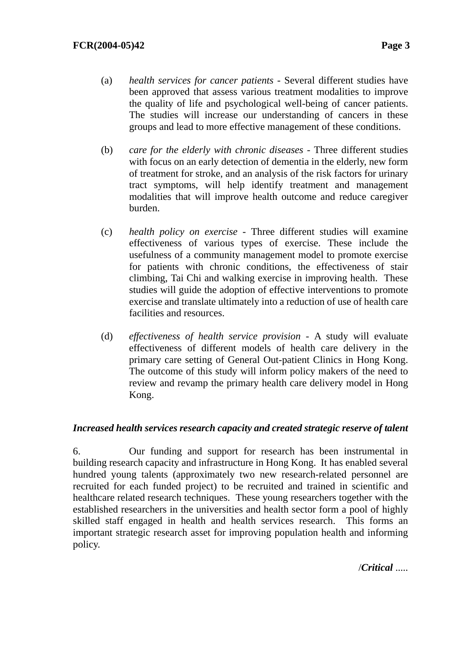- (a) *health services for cancer patients* Several different studies have been approved that assess various treatment modalities to improve the quality of life and psychological well-being of cancer patients. The studies will increase our understanding of cancers in these groups and lead to more effective management of these conditions.
- (b) *care for the elderly with chronic diseases* Three different studies with focus on an early detection of dementia in the elderly, new form of treatment for stroke, and an analysis of the risk factors for urinary tract symptoms, will help identify treatment and management modalities that will improve health outcome and reduce caregiver burden.
- (c) *health policy on exercise* Three different studies will examine effectiveness of various types of exercise. These include the usefulness of a community management model to promote exercise for patients with chronic conditions, the effectiveness of stair climbing, Tai Chi and walking exercise in improving health. These studies will guide the adoption of effective interventions to promote exercise and translate ultimately into a reduction of use of health care facilities and resources.
- (d) *effectiveness of health service provision* A study will evaluate effectiveness of different models of health care delivery in the primary care setting of General Out-patient Clinics in Hong Kong. The outcome of this study will inform policy makers of the need to review and revamp the primary health care delivery model in Hong Kong.

### *Increased health services research capacity and created strategic reserve of talent*

6. Our funding and support for research has been instrumental in building research capacity and infrastructure in Hong Kong. It has enabled several hundred young talents (approximately two new research-related personnel are recruited for each funded project) to be recruited and trained in scientific and healthcare related research techniques. These young researchers together with the established researchers in the universities and health sector form a pool of highly skilled staff engaged in health and health services research. This forms an important strategic research asset for improving population health and informing policy.

/*Critical* .....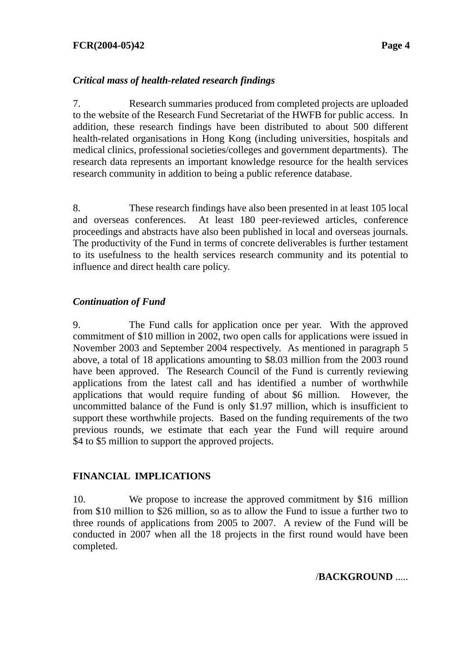### **FCR(2004-05)42 Page 4**

### *Critical mass of health-related research findings*

7. Research summaries produced from completed projects are uploaded to the website of the Research Fund Secretariat of the HWFB for public access. In addition, these research findings have been distributed to about 500 different health-related organisations in Hong Kong (including universities, hospitals and medical clinics, professional societies/colleges and government departments). The research data represents an important knowledge resource for the health services research community in addition to being a public reference database.

8. These research findings have also been presented in at least 105 local and overseas conferences. At least 180 peer-reviewed articles, conference proceedings and abstracts have also been published in local and overseas journals. The productivity of the Fund in terms of concrete deliverables is further testament to its usefulness to the health services research community and its potential to influence and direct health care policy.

### *Continuation of Fund*

9. The Fund calls for application once per year. With the approved commitment of \$10 million in 2002, two open calls for applications were issued in November 2003 and September 2004 respectively. As mentioned in paragraph 5 above, a total of 18 applications amounting to \$8.03 million from the 2003 round have been approved. The Research Council of the Fund is currently reviewing applications from the latest call and has identified a number of worthwhile applications that would require funding of about \$6 million. However, the uncommitted balance of the Fund is only \$1.97 million, which is insufficient to support these worthwhile projects. Based on the funding requirements of the two previous rounds, we estimate that each year the Fund will require around \$4 to \$5 million to support the approved projects.

### **FINANCIAL IMPLICATIONS**

10. We propose to increase the approved commitment by \$16 million from \$10 million to \$26 million, so as to allow the Fund to issue a further two to three rounds of applications from 2005 to 2007. A review of the Fund will be conducted in 2007 when all the 18 projects in the first round would have been completed.

/**BACKGROUND** .....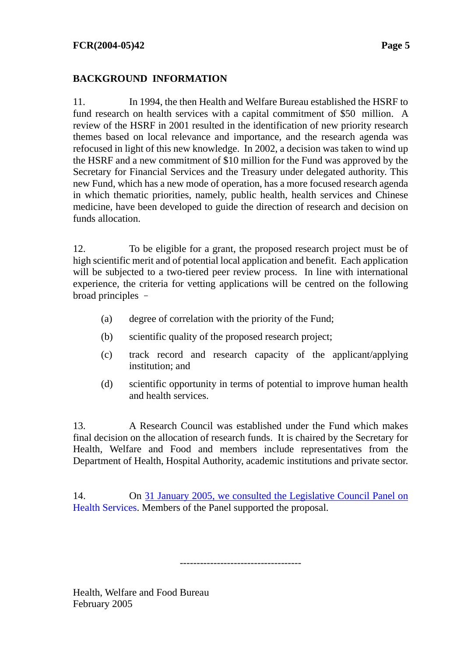## **BACKGROUND INFORMATION**

11. In 1994, the then Health and Welfare Bureau established the HSRF to fund research on health services with a capital commitment of \$50 million. A review of the HSRF in 2001 resulted in the identification of new priority research themes based on local relevance and importance, and the research agenda was refocused in light of this new knowledge. In 2002, a decision was taken to wind up the HSRF and a new commitment of \$10 million for the Fund was approved by the Secretary for Financial Services and the Treasury under delegated authority. This new Fund, which has a new mode of operation, has a more focused research agenda in which thematic priorities, namely, public health, health services and Chinese medicine, have been developed to guide the direction of research and decision on funds allocation.

12. To be eligible for a grant, the proposed research project must be of high scientific merit and of potential local application and benefit. Each application will be subjected to a two-tiered peer review process. In line with international experience, the criteria for vetting applications will be centred on the following broad principles –

- (a) degree of correlation with the priority of the Fund;
- (b) scientific quality of the proposed research project;
- (c) track record and research capacity of the applicant/applying institution; and
- (d) scientific opportunity in terms of potential to improve human health and health services.

13. A Research Council was established under the Fund which makes final decision on the allocation of research funds. It is chaired by the Secretary for Health, Welfare and Food and members include representatives from the Department of Health, Hospital Authority, academic institutions and private sector.

14. On [31 January 2005, we consulted the Legislative Council Panel on](http://www.legco.gov.hk/yr04-05/english/panels/hs/general/hs0405.htm)  [Health Services. M](http://www.legco.gov.hk/yr04-05/english/panels/hs/general/hs0405.htm)embers of the Panel supported the proposal.

 $-$ 

Health, Welfare and Food Bureau February 2005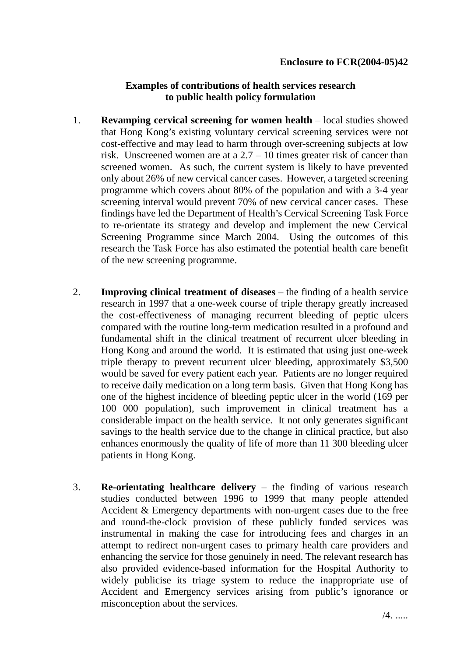#### **Examples of contributions of health services research to public health policy formulation**

- 1. **Revamping cervical screening for women health** local studies showed that Hong Kong's existing voluntary cervical screening services were not cost-effective and may lead to harm through over-screening subjects at low risk. Unscreened women are at a  $2.7 - 10$  times greater risk of cancer than screened women. As such, the current system is likely to have prevented only about 26% of new cervical cancer cases. However, a targeted screening programme which covers about 80% of the population and with a 3-4 year screening interval would prevent 70% of new cervical cancer cases. These findings have led the Department of Health's Cervical Screening Task Force to re-orientate its strategy and develop and implement the new Cervical Screening Programme since March 2004. Using the outcomes of this research the Task Force has also estimated the potential health care benefit of the new screening programme.
- 2. **Improving clinical treatment of diseases** the finding of a health service research in 1997 that a one-week course of triple therapy greatly increased the cost-effectiveness of managing recurrent bleeding of peptic ulcers compared with the routine long-term medication resulted in a profound and fundamental shift in the clinical treatment of recurrent ulcer bleeding in Hong Kong and around the world. It is estimated that using just one-week triple therapy to prevent recurrent ulcer bleeding, approximately \$3,500 would be saved for every patient each year. Patients are no longer required to receive daily medication on a long term basis. Given that Hong Kong has one of the highest incidence of bleeding peptic ulcer in the world (169 per 100 000 population), such improvement in clinical treatment has a considerable impact on the health service. It not only generates significant savings to the health service due to the change in clinical practice, but also enhances enormously the quality of life of more than 11 300 bleeding ulcer patients in Hong Kong.
- 3. **Re-orientating healthcare delivery** the finding of various research studies conducted between 1996 to 1999 that many people attended Accident & Emergency departments with non-urgent cases due to the free and round-the-clock provision of these publicly funded services was instrumental in making the case for introducing fees and charges in an attempt to redirect non-urgent cases to primary health care providers and enhancing the service for those genuinely in need. The relevant research has also provided evidence-based information for the Hospital Authority to widely publicise its triage system to reduce the inappropriate use of Accident and Emergency services arising from public's ignorance or misconception about the services.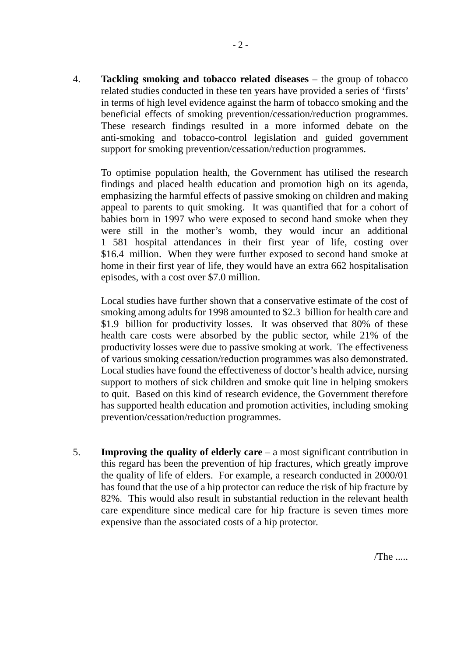4. **Tackling smoking and tobacco related diseases** – the group of tobacco related studies conducted in these ten years have provided a series of 'firsts' in terms of high level evidence against the harm of tobacco smoking and the beneficial effects of smoking prevention/cessation/reduction programmes. These research findings resulted in a more informed debate on the anti-smoking and tobacco-control legislation and guided government support for smoking prevention/cessation/reduction programmes.

To optimise population health, the Government has utilised the research findings and placed health education and promotion high on its agenda, emphasizing the harmful effects of passive smoking on children and making appeal to parents to quit smoking. It was quantified that for a cohort of babies born in 1997 who were exposed to second hand smoke when they were still in the mother's womb, they would incur an additional 1 581 hospital attendances in their first year of life, costing over \$16.4 million. When they were further exposed to second hand smoke at home in their first year of life, they would have an extra 662 hospitalisation episodes, with a cost over \$7.0 million.

Local studies have further shown that a conservative estimate of the cost of smoking among adults for 1998 amounted to \$2.3 billion for health care and \$1.9 billion for productivity losses. It was observed that 80% of these health care costs were absorbed by the public sector, while 21% of the productivity losses were due to passive smoking at work. The effectiveness of various smoking cessation/reduction programmes was also demonstrated. Local studies have found the effectiveness of doctor's health advice, nursing support to mothers of sick children and smoke quit line in helping smokers to quit. Based on this kind of research evidence, the Government therefore has supported health education and promotion activities, including smoking prevention/cessation/reduction programmes.

5. **Improving the quality of elderly care** – a most significant contribution in this regard has been the prevention of hip fractures, which greatly improve the quality of life of elders. For example, a research conducted in 2000/01 has found that the use of a hip protector can reduce the risk of hip fracture by 82%. This would also result in substantial reduction in the relevant health care expenditure since medical care for hip fracture is seven times more expensive than the associated costs of a hip protector.

 $/$ The  $\ldots$